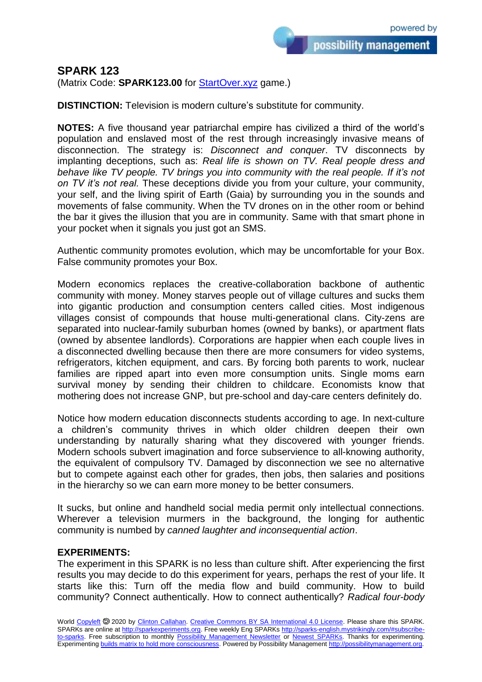## **SPARK 123**

(Matrix Code: **SPARK123.00** for **StartOver.xyz** game.)

**DISTINCTION:** Television is modern culture's substitute for community.

**NOTES:** A five thousand year patriarchal empire has civilized a third of the world's population and enslaved most of the rest through increasingly invasive means of disconnection. The strategy is: *Disconnect and conquer*. TV disconnects by implanting deceptions, such as: *Real life is shown on TV. Real people dress and behave like TV people. TV brings you into community with the real people. If it's not on TV it's not real.* These deceptions divide you from your culture, your community, your self, and the living spirit of Earth (Gaia) by surrounding you in the sounds and movements of false community. When the TV drones on in the other room or behind the bar it gives the illusion that you are in community. Same with that smart phone in your pocket when it signals you just got an SMS.

Authentic community promotes evolution, which may be uncomfortable for your Box. False community promotes your Box.

Modern economics replaces the creative-collaboration backbone of authentic community with money. Money starves people out of village cultures and sucks them into gigantic production and consumption centers called cities. Most indigenous villages consist of compounds that house multi-generational clans. City-zens are separated into nuclear-family suburban homes (owned by banks), or apartment flats (owned by absentee landlords). Corporations are happier when each couple lives in a disconnected dwelling because then there are more consumers for video systems, refrigerators, kitchen equipment, and cars. By forcing both parents to work, nuclear families are ripped apart into even more consumption units. Single moms earn survival money by sending their children to childcare. Economists know that mothering does not increase GNP, but pre-school and day-care centers definitely do.

Notice how modern education disconnects students according to age. In next-culture a children's community thrives in which older children deepen their own understanding by naturally sharing what they discovered with younger friends. Modern schools subvert imagination and force subservience to all-knowing authority, the equivalent of compulsory TV. Damaged by disconnection we see no alternative but to compete against each other for grades, then jobs, then salaries and positions in the hierarchy so we can earn more money to be better consumers.

It sucks, but online and handheld social media permit only intellectual connections. Wherever a television murmers in the background, the longing for authentic community is numbed by *canned laughter and inconsequential action*.

## **EXPERIMENTS:**

The experiment in this SPARK is no less than culture shift. After experiencing the first results you may decide to do this experiment for years, perhaps the rest of your life. It starts like this: Turn off the media flow and build community. How to build community? Connect authentically. How to connect authentically? *Radical four-body*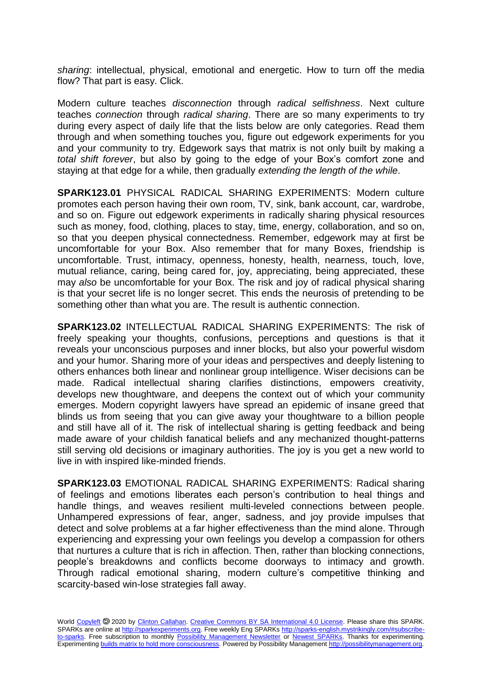*sharing*: intellectual, physical, emotional and energetic. How to turn off the media flow? That part is easy. Click.

Modern culture teaches *disconnection* through *radical selfishness*. Next culture teaches *connection* through *radical sharing*. There are so many experiments to try during every aspect of daily life that the lists below are only categories. Read them through and when something touches you, figure out edgework experiments for you and your community to try. Edgework says that matrix is not only built by making a *total shift forever*, but also by going to the edge of your Box's comfort zone and staying at that edge for a while, then gradually *extending the length of the while*.

**SPARK123.01** PHYSICAL RADICAL SHARING EXPERIMENTS: Modern culture promotes each person having their own room, TV, sink, bank account, car, wardrobe, and so on. Figure out edgework experiments in radically sharing physical resources such as money, food, clothing, places to stay, time, energy, collaboration, and so on, so that you deepen physical connectedness. Remember, edgework may at first be uncomfortable for your Box. Also remember that for many Boxes, friendship is uncomfortable. Trust, intimacy, openness, honesty, health, nearness, touch, love, mutual reliance, caring, being cared for, joy, appreciating, being appreciated, these may *also* be uncomfortable for your Box. The risk and joy of radical physical sharing is that your secret life is no longer secret. This ends the neurosis of pretending to be something other than what you are. The result is authentic connection.

**SPARK123.02** INTELLECTUAL RADICAL SHARING EXPERIMENTS: The risk of freely speaking your thoughts, confusions, perceptions and questions is that it reveals your unconscious purposes and inner blocks, but also your powerful wisdom and your humor. Sharing more of your ideas and perspectives and deeply listening to others enhances both linear and nonlinear group intelligence. Wiser decisions can be made. Radical intellectual sharing clarifies distinctions, empowers creativity, develops new thoughtware, and deepens the context out of which your community emerges. Modern copyright lawyers have spread an epidemic of insane greed that blinds us from seeing that you can give away your thoughtware to a billion people and still have all of it. The risk of intellectual sharing is getting feedback and being made aware of your childish fanatical beliefs and any mechanized thought-patterns still serving old decisions or imaginary authorities. The joy is you get a new world to live in with inspired like-minded friends.

**SPARK123.03** EMOTIONAL RADICAL SHARING EXPERIMENTS: Radical sharing of feelings and emotions liberates each person's contribution to heal things and handle things, and weaves resilient multi-leveled connections between people. Unhampered expressions of fear, anger, sadness, and joy provide impulses that detect and solve problems at a far higher effectiveness than the mind alone. Through experiencing and expressing your own feelings you develop a compassion for others that nurtures a culture that is rich in affection. Then, rather than blocking connections, people's breakdowns and conflicts become doorways to intimacy and growth. Through radical emotional sharing, modern culture's competitive thinking and scarcity-based win-lose strategies fall away.

World [Copyleft](https://en.wikipedia.org/wiki/Copyleft) <sup>5</sup> 2020 by [Clinton Callahan.](http://clintoncallahan.mystrikingly.com/) [Creative Commons BY SA International 4.0 License.](https://creativecommons.org/licenses/by-sa/4.0/) Please share this SPARK. SPARKs are online at [http://sparkexperiments.org.](http://sparks-english.mystrikingly.com/) Free weekly Eng SPARKs [http://sparks-english.mystrikingly.com/#subscribe](http://sparks-english.mystrikingly.com/#subscribe-to-sparks)[to-sparks.](http://sparks-english.mystrikingly.com/#subscribe-to-sparks) Free subscription to monthly [Possibility Management Newsletter](https://possibilitymanagement.org/news/) or [Newest SPARKs.](https://www.clintoncallahan.org/newsletter-1) Thanks for experimenting. Experimentin[g builds matrix to hold more consciousness.](http://spaceport.mystrikingly.com/) Powered by Possibility Managemen[t http://possibilitymanagement.org.](http://possibilitymanagement.org/)